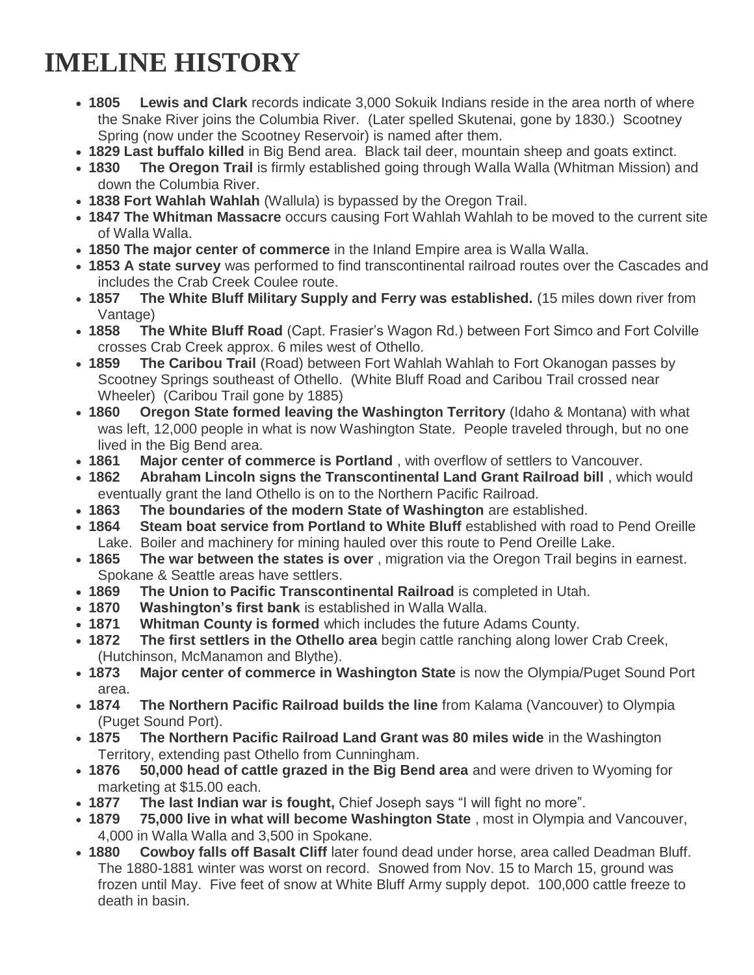## **IMELINE HISTORY**

- **1805 Lewis and Clark** records indicate 3,000 Sokuik Indians reside in the area north of where the Snake River joins the Columbia River. (Later spelled Skutenai, gone by 1830.) Scootney Spring (now under the Scootney Reservoir) is named after them.
- **1829 Last buffalo killed** in Big Bend area. Black tail deer, mountain sheep and goats extinct.
- **1830 The Oregon Trail** is firmly established going through Walla Walla (Whitman Mission) and down the Columbia River.
- **1838 Fort Wahlah Wahlah** (Wallula) is bypassed by the Oregon Trail.
- **1847 The Whitman Massacre** occurs causing Fort Wahlah Wahlah to be moved to the current site of Walla Walla.
- **1850 The major center of commerce** in the Inland Empire area is Walla Walla.
- **1853 A state survey** was performed to find transcontinental railroad routes over the Cascades and includes the Crab Creek Coulee route.
- **1857 The White Bluff Military Supply and Ferry was established.** (15 miles down river from Vantage)
- **1858 The White Bluff Road** (Capt. Frasier's Wagon Rd.) between Fort Simco and Fort Colville crosses Crab Creek approx. 6 miles west of Othello.
- **1859 The Caribou Trail** (Road) between Fort Wahlah Wahlah to Fort Okanogan passes by Scootney Springs southeast of Othello. (White Bluff Road and Caribou Trail crossed near Wheeler) (Caribou Trail gone by 1885)
- **1860 Oregon State formed leaving the Washington Territory** (Idaho & Montana) with what was left, 12,000 people in what is now Washington State. People traveled through, but no one lived in the Big Bend area.
- **1861 Major center of commerce is Portland** , with overflow of settlers to Vancouver.
- **1862 Abraham Lincoln signs the Transcontinental Land Grant Railroad bill** , which would eventually grant the land Othello is on to the Northern Pacific Railroad.
- **1863 The boundaries of the modern State of Washington** are established.
- **1864 Steam boat service from Portland to White Bluff** established with road to Pend Oreille Lake. Boiler and machinery for mining hauled over this route to Pend Oreille Lake.
- **1865 The war between the states is over** , migration via the Oregon Trail begins in earnest. Spokane & Seattle areas have settlers.
- **1869 The Union to Pacific Transcontinental Railroad** is completed in Utah.
- **1870 Washington's first bank** is established in Walla Walla.
- **1871 Whitman County is formed** which includes the future Adams County.
- **1872 The first settlers in the Othello area** begin cattle ranching along lower Crab Creek, (Hutchinson, McManamon and Blythe).
- **1873 Major center of commerce in Washington State** is now the Olympia/Puget Sound Port area.
- **1874 The Northern Pacific Railroad builds the line** from Kalama (Vancouver) to Olympia (Puget Sound Port).
- **1875 The Northern Pacific Railroad Land Grant was 80 miles wide** in the Washington Territory, extending past Othello from Cunningham.
- **1876 50,000 head of cattle grazed in the Big Bend area** and were driven to Wyoming for marketing at \$15.00 each.
- **1877 The last Indian war is fought,** Chief Joseph says "I will fight no more".
- **1879 75,000 live in what will become Washington State** , most in Olympia and Vancouver, 4,000 in Walla Walla and 3,500 in Spokane.
- **1880 Cowboy falls off Basalt Cliff** later found dead under horse, area called Deadman Bluff. The 1880-1881 winter was worst on record. Snowed from Nov. 15 to March 15, ground was frozen until May. Five feet of snow at White Bluff Army supply depot. 100,000 cattle freeze to death in basin.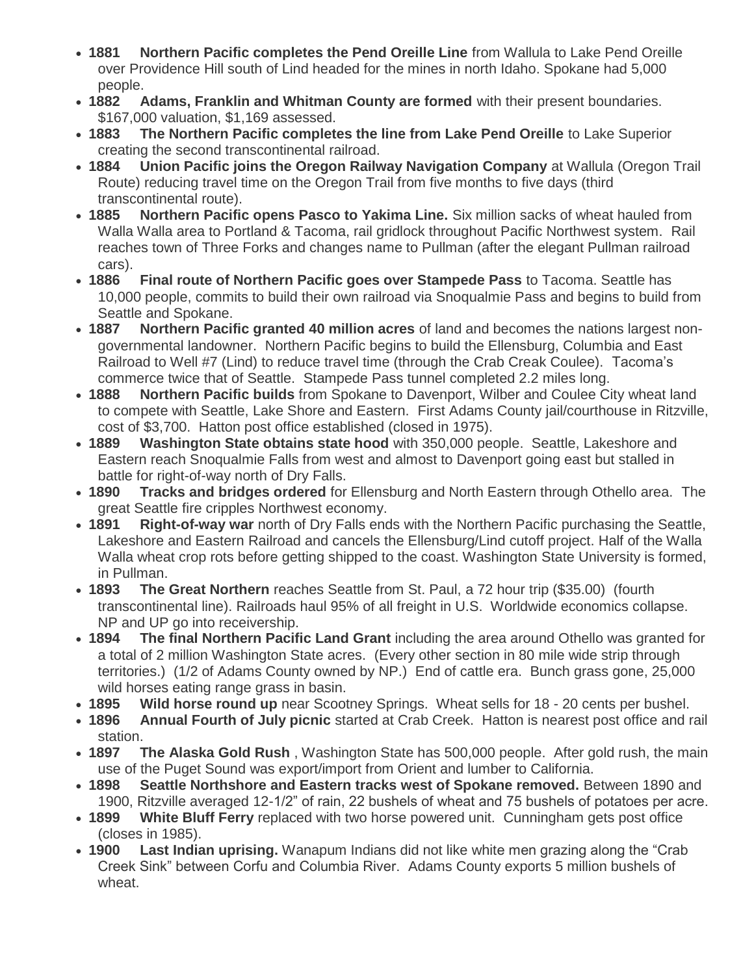- **1881 Northern Pacific completes the Pend Oreille Line** from Wallula to Lake Pend Oreille over Providence Hill south of Lind headed for the mines in north Idaho. Spokane had 5,000 people.
- **1882 Adams, Franklin and Whitman County are formed** with their present boundaries. \$167,000 valuation, \$1,169 assessed.
- **1883 The Northern Pacific completes the line from Lake Pend Oreille** to Lake Superior creating the second transcontinental railroad.
- **1884 Union Pacific joins the Oregon Railway Navigation Company** at Wallula (Oregon Trail Route) reducing travel time on the Oregon Trail from five months to five days (third transcontinental route).
- **1885 Northern Pacific opens Pasco to Yakima Line.** Six million sacks of wheat hauled from Walla Walla area to Portland & Tacoma, rail gridlock throughout Pacific Northwest system. Rail reaches town of Three Forks and changes name to Pullman (after the elegant Pullman railroad cars).
- **1886 Final route of Northern Pacific goes over Stampede Pass** to Tacoma. Seattle has 10,000 people, commits to build their own railroad via Snoqualmie Pass and begins to build from Seattle and Spokane.
- **1887 Northern Pacific granted 40 million acres** of land and becomes the nations largest nongovernmental landowner. Northern Pacific begins to build the Ellensburg, Columbia and East Railroad to Well #7 (Lind) to reduce travel time (through the Crab Creak Coulee). Tacoma's commerce twice that of Seattle. Stampede Pass tunnel completed 2.2 miles long.
- **1888 Northern Pacific builds** from Spokane to Davenport, Wilber and Coulee City wheat land to compete with Seattle, Lake Shore and Eastern. First Adams County jail/courthouse in Ritzville, cost of \$3,700. Hatton post office established (closed in 1975).
- **1889 Washington State obtains state hood** with 350,000 people. Seattle, Lakeshore and Eastern reach Snoqualmie Falls from west and almost to Davenport going east but stalled in battle for right-of-way north of Dry Falls.
- **1890 Tracks and bridges ordered** for Ellensburg and North Eastern through Othello area. The great Seattle fire cripples Northwest economy.
- **1891 Right-of-way war** north of Dry Falls ends with the Northern Pacific purchasing the Seattle, Lakeshore and Eastern Railroad and cancels the Ellensburg/Lind cutoff project. Half of the Walla Walla wheat crop rots before getting shipped to the coast. Washington State University is formed, in Pullman.
- **1893 The Great Northern** reaches Seattle from St. Paul, a 72 hour trip (\$35.00) (fourth transcontinental line). Railroads haul 95% of all freight in U.S. Worldwide economics collapse. NP and UP go into receivership.
- **1894 The final Northern Pacific Land Grant** including the area around Othello was granted for a total of 2 million Washington State acres. (Every other section in 80 mile wide strip through territories.) (1/2 of Adams County owned by NP.) End of cattle era. Bunch grass gone, 25,000 wild horses eating range grass in basin.
- **1895 Wild horse round up** near Scootney Springs. Wheat sells for 18 20 cents per bushel.
- **1896 Annual Fourth of July picnic** started at Crab Creek. Hatton is nearest post office and rail station.
- **1897 The Alaska Gold Rush** , Washington State has 500,000 people. After gold rush, the main use of the Puget Sound was export/import from Orient and lumber to California.
- **1898 Seattle Northshore and Eastern tracks west of Spokane removed.** Between 1890 and 1900, Ritzville averaged 12-1/2" of rain, 22 bushels of wheat and 75 bushels of potatoes per acre.
- **1899 White Bluff Ferry** replaced with two horse powered unit. Cunningham gets post office (closes in 1985).
- **1900 Last Indian uprising.** Wanapum Indians did not like white men grazing along the "Crab Creek Sink" between Corfu and Columbia River. Adams County exports 5 million bushels of wheat.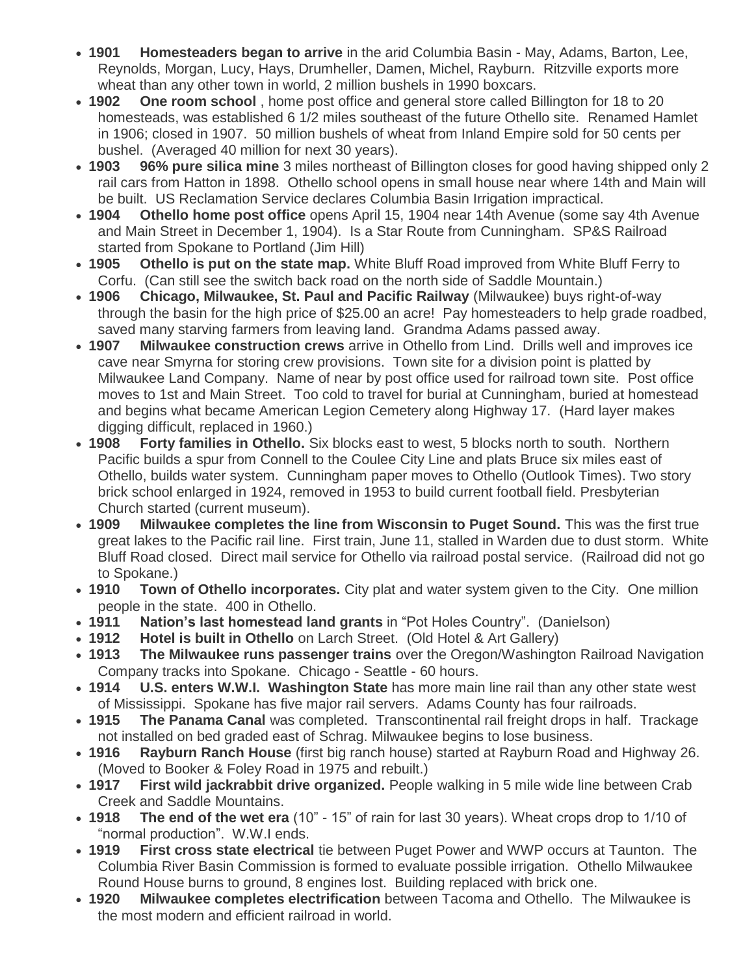- **1901 Homesteaders began to arrive** in the arid Columbia Basin May, Adams, Barton, Lee, Reynolds, Morgan, Lucy, Hays, Drumheller, Damen, Michel, Rayburn. Ritzville exports more wheat than any other town in world, 2 million bushels in 1990 boxcars.
- **1902 One room school** , home post office and general store called Billington for 18 to 20 homesteads, was established 6 1/2 miles southeast of the future Othello site. Renamed Hamlet in 1906; closed in 1907. 50 million bushels of wheat from Inland Empire sold for 50 cents per bushel. (Averaged 40 million for next 30 years).
- **1903 96% pure silica mine** 3 miles northeast of Billington closes for good having shipped only 2 rail cars from Hatton in 1898. Othello school opens in small house near where 14th and Main will be built. US Reclamation Service declares Columbia Basin Irrigation impractical.
- **1904 Othello home post office** opens April 15, 1904 near 14th Avenue (some say 4th Avenue and Main Street in December 1, 1904). Is a Star Route from Cunningham. SP&S Railroad started from Spokane to Portland (Jim Hill)
- **1905 Othello is put on the state map.** White Bluff Road improved from White Bluff Ferry to Corfu. (Can still see the switch back road on the north side of Saddle Mountain.)
- **1906 Chicago, Milwaukee, St. Paul and Pacific Railway** (Milwaukee) buys right-of-way through the basin for the high price of \$25.00 an acre! Pay homesteaders to help grade roadbed, saved many starving farmers from leaving land. Grandma Adams passed away.
- **1907 Milwaukee construction crews** arrive in Othello from Lind. Drills well and improves ice cave near Smyrna for storing crew provisions. Town site for a division point is platted by Milwaukee Land Company. Name of near by post office used for railroad town site. Post office moves to 1st and Main Street. Too cold to travel for burial at Cunningham, buried at homestead and begins what became American Legion Cemetery along Highway 17. (Hard layer makes digging difficult, replaced in 1960.)
- **1908 Forty families in Othello.** Six blocks east to west, 5 blocks north to south. Northern Pacific builds a spur from Connell to the Coulee City Line and plats Bruce six miles east of Othello, builds water system. Cunningham paper moves to Othello (Outlook Times). Two story brick school enlarged in 1924, removed in 1953 to build current football field. Presbyterian Church started (current museum).
- **1909 Milwaukee completes the line from Wisconsin to Puget Sound.** This was the first true great lakes to the Pacific rail line. First train, June 11, stalled in Warden due to dust storm. White Bluff Road closed. Direct mail service for Othello via railroad postal service. (Railroad did not go to Spokane.)
- **1910 Town of Othello incorporates.** City plat and water system given to the City. One million people in the state. 400 in Othello.
- **1911 Nation's last homestead land grants** in "Pot Holes Country". (Danielson)
- **1912 Hotel is built in Othello** on Larch Street. (Old Hotel & Art Gallery)
- **1913 The Milwaukee runs passenger trains** over the Oregon/Washington Railroad Navigation Company tracks into Spokane. Chicago - Seattle - 60 hours.
- **1914 U.S. enters W.W.I. Washington State** has more main line rail than any other state west of Mississippi. Spokane has five major rail servers. Adams County has four railroads.
- **1915 The Panama Canal** was completed. Transcontinental rail freight drops in half. Trackage not installed on bed graded east of Schrag. Milwaukee begins to lose business.
- **1916 Rayburn Ranch House** (first big ranch house) started at Rayburn Road and Highway 26. (Moved to Booker & Foley Road in 1975 and rebuilt.)
- **1917** First wild jackrabbit drive organized. People walking in 5 mile wide line between Crab Creek and Saddle Mountains.
- **1918 The end of the wet era** (10" 15" of rain for last 30 years). Wheat crops drop to 1/10 of "normal production". W.W.I ends.
- **1919 First cross state electrical** tie between Puget Power and WWP occurs at Taunton. The Columbia River Basin Commission is formed to evaluate possible irrigation. Othello Milwaukee Round House burns to ground, 8 engines lost. Building replaced with brick one.
- **1920 Milwaukee completes electrification** between Tacoma and Othello. The Milwaukee is the most modern and efficient railroad in world.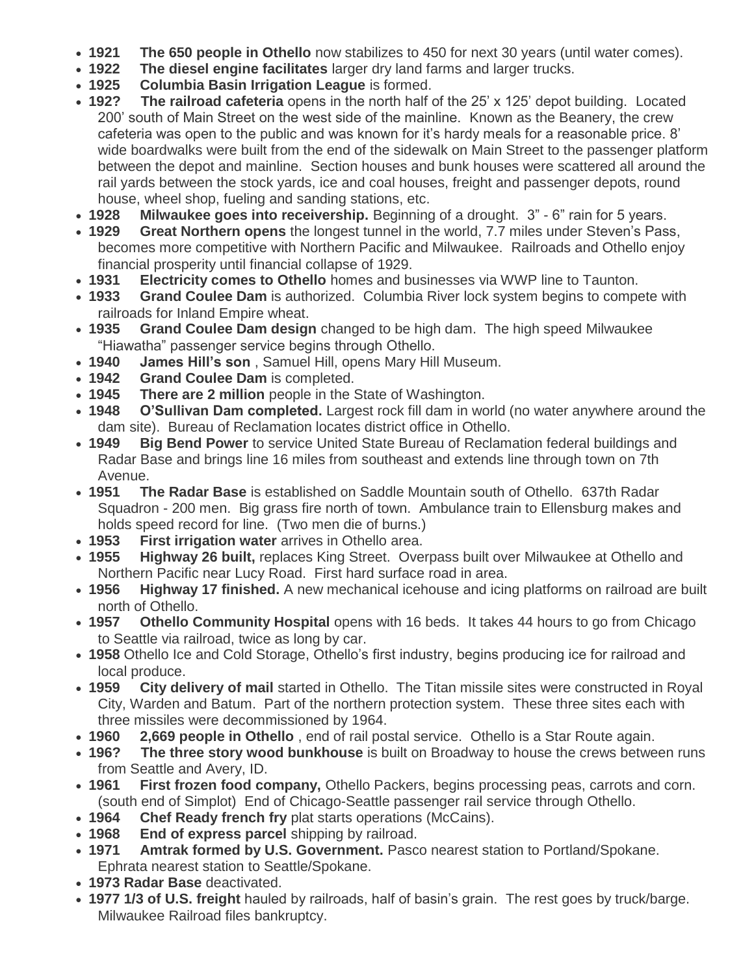- **1921 The 650 people in Othello** now stabilizes to 450 for next 30 years (until water comes).
- **1922 The diesel engine facilitates** larger dry land farms and larger trucks.
- **1925 Columbia Basin Irrigation League** is formed.
- 192? The railroad cafeteria opens in the north half of the 25' x 125' depot building. Located 200' south of Main Street on the west side of the mainline. Known as the Beanery, the crew cafeteria was open to the public and was known for it's hardy meals for a reasonable price. 8' wide boardwalks were built from the end of the sidewalk on Main Street to the passenger platform between the depot and mainline. Section houses and bunk houses were scattered all around the rail yards between the stock yards, ice and coal houses, freight and passenger depots, round house, wheel shop, fueling and sanding stations, etc.
- **1928** Milwaukee goes into receivership. Beginning of a drought. 3" 6" rain for 5 years.
- **1929 Great Northern opens** the longest tunnel in the world, 7.7 miles under Steven's Pass, becomes more competitive with Northern Pacific and Milwaukee. Railroads and Othello enjoy financial prosperity until financial collapse of 1929.
- **1931 Electricity comes to Othello** homes and businesses via WWP line to Taunton.
- **1933 Grand Coulee Dam** is authorized. Columbia River lock system begins to compete with railroads for Inland Empire wheat.
- **1935 Grand Coulee Dam design** changed to be high dam. The high speed Milwaukee "Hiawatha" passenger service begins through Othello.
- **1940 James Hill's son** , Samuel Hill, opens Mary Hill Museum.
- **1942 Grand Coulee Dam** is completed.
- **1945 There are 2 million** people in the State of Washington.
- **1948 O'Sullivan Dam completed.** Largest rock fill dam in world (no water anywhere around the dam site). Bureau of Reclamation locates district office in Othello.
- **1949 Big Bend Power** to service United State Bureau of Reclamation federal buildings and Radar Base and brings line 16 miles from southeast and extends line through town on 7th Avenue.
- **1951 The Radar Base** is established on Saddle Mountain south of Othello. 637th Radar Squadron - 200 men. Big grass fire north of town. Ambulance train to Ellensburg makes and holds speed record for line. (Two men die of burns.)
- **1953 First irrigation water** arrives in Othello area.
- **1955 Highway 26 built,** replaces King Street. Overpass built over Milwaukee at Othello and Northern Pacific near Lucy Road. First hard surface road in area.
- **1956 Highway 17 finished.** A new mechanical icehouse and icing platforms on railroad are built north of Othello.
- 1957 Othello Community Hospital opens with 16 beds. It takes 44 hours to go from Chicago to Seattle via railroad, twice as long by car.
- **1958** Othello Ice and Cold Storage, Othello's first industry, begins producing ice for railroad and local produce.
- **1959 City delivery of mail** started in Othello. The Titan missile sites were constructed in Royal City, Warden and Batum. Part of the northern protection system. These three sites each with three missiles were decommissioned by 1964.
- **1960 2,669 people in Othello** , end of rail postal service. Othello is a Star Route again.
- **196? The three story wood bunkhouse** is built on Broadway to house the crews between runs from Seattle and Avery, ID.
- **1961 First frozen food company,** Othello Packers, begins processing peas, carrots and corn. (south end of Simplot) End of Chicago-Seattle passenger rail service through Othello.
- **1964 Chef Ready french fry** plat starts operations (McCains).
- **1968 End of express parcel** shipping by railroad.
- **1971 Amtrak formed by U.S. Government.** Pasco nearest station to Portland/Spokane. Ephrata nearest station to Seattle/Spokane.
- **1973 Radar Base** deactivated.
- **1977 1/3 of U.S. freight** hauled by railroads, half of basin's grain. The rest goes by truck/barge. Milwaukee Railroad files bankruptcy.